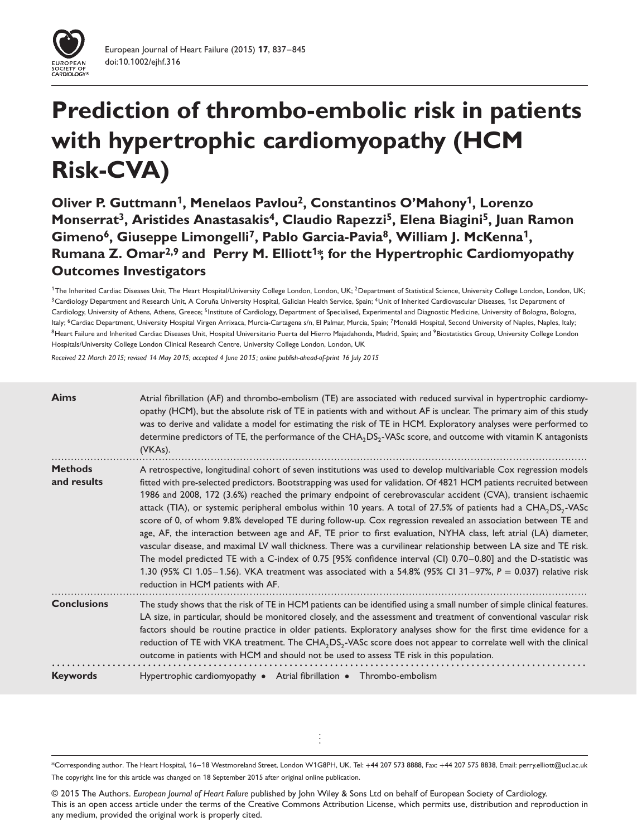

# **Prediction of thrombo-embolic risk in patients with hypertrophic cardiomyopathy (HCM Risk-CVA)**

**Oliver P. Guttmann<sup>1</sup>, Menelaos Pavlou2, Constantinos O'Mahony<sup>1</sup>, Lorenzo Monserrat3, Aristides Anastasakis4, Claudio Rapezzi5, Elena Biagini5, Juan Ramon Gimeno6, Giuseppe Limongelli7, Pablo Garcia-Pavia8, William J. McKenna<sup>1</sup>, Rumana Z. Omar2,9 and Perry M. Elliott<sup>1</sup>\*, for the Hypertrophic Cardiomyopathy Outcomes Investigators**

<sup>1</sup>The Inherited Cardiac Diseases Unit, The Heart Hospital/University College London, London, UK; <sup>2</sup>Department of Statistical Science, University College London, London, UK; <sup>3</sup>Cardiology Department and Research Unit, A Coruña University Hospital, Galician Health Service, Spain; <sup>4</sup>Unit of Inherited Cardiovascular Diseases, 1st Department of Cardiology, University of Athens, Athens, Greece; <sup>5</sup>Institute of Cardiology, Department of Specialised, Experimental and Diagnostic Medicine, University of Bologna, Bologna, Italy; <sup>6</sup>Cardiac Department, University Hospital Virgen Arrixaca, Murcia-Cartagena s/n, El Palmar, Murcia, Spain; <sup>7</sup>Monaldi Hospital, Second University of Naples, Naples, Italy; <sup>8</sup> Heart Failure and Inherited Cardiac Diseases Unit, Hospital Universitario Puerta del Hierro Majadahonda, Madrid, Spain; and <sup>9</sup> Biostatistics Group, University College London Hospitals/University College London Clinical Research Centre, University College London, London, UK

*Received 22 March 20*1*5; revised* 1*4 May 20*1*5; accepted 4 June 20*1*5 ; online publish-ahead-of-print* 1*6 July 20*1*5*

| <b>Aims</b>                   | Atrial fibrillation (AF) and thrombo-embolism (TE) are associated with reduced survival in hypertrophic cardiomy-<br>opathy (HCM), but the absolute risk of TE in patients with and without AF is unclear. The primary aim of this study<br>was to derive and validate a model for estimating the risk of TE in HCM. Exploratory analyses were performed to<br>determine predictors of TE, the performance of the CHA <sub>2</sub> DS <sub>2</sub> -VASc score, and outcome with vitamin K antagonists<br>(VKAs).                                                                                                                                                                                                                                                                                                                                                                                                                                                                                                                                                                                                                       |
|-------------------------------|-----------------------------------------------------------------------------------------------------------------------------------------------------------------------------------------------------------------------------------------------------------------------------------------------------------------------------------------------------------------------------------------------------------------------------------------------------------------------------------------------------------------------------------------------------------------------------------------------------------------------------------------------------------------------------------------------------------------------------------------------------------------------------------------------------------------------------------------------------------------------------------------------------------------------------------------------------------------------------------------------------------------------------------------------------------------------------------------------------------------------------------------|
| <b>Methods</b><br>and results | A retrospective, longitudinal cohort of seven institutions was used to develop multivariable Cox regression models<br>fitted with pre-selected predictors. Bootstrapping was used for validation. Of 4821 HCM patients recruited between<br>1986 and 2008, 172 (3.6%) reached the primary endpoint of cerebrovascular accident (CVA), transient ischaemic<br>attack (TIA), or systemic peripheral embolus within 10 years. A total of 27.5% of patients had a CHA <sub>2</sub> DS <sub>2</sub> -VASc<br>score of 0, of whom 9.8% developed TE during follow-up. Cox regression revealed an association between TE and<br>age, AF, the interaction between age and AF, TE prior to first evaluation, NYHA class, left atrial (LA) diameter,<br>vascular disease, and maximal LV wall thickness. There was a curvilinear relationship between LA size and TE risk.<br>The model predicted TE with a C-index of 0.75 [95% confidence interval (Cl) 0.70–0.80] and the D-statistic was<br>1.30 (95% CI 1.05-1.56). VKA treatment was associated with a 54.8% (95% CI 31-97%, P = 0.037) relative risk<br>reduction in HCM patients with AF. |
| <b>Conclusions</b>            | The study shows that the risk of TE in HCM patients can be identified using a small number of simple clinical features.<br>LA size, in particular, should be monitored closely, and the assessment and treatment of conventional vascular risk<br>factors should be routine practice in older patients. Exploratory analyses show for the first time evidence for a<br>reduction of TE with VKA treatment. The CHA <sub>2</sub> DS <sub>2</sub> -VASc score does not appear to correlate well with the clinical<br>outcome in patients with HCM and should not be used to assess TE risk in this population.                                                                                                                                                                                                                                                                                                                                                                                                                                                                                                                            |
| <b>Keywords</b>               | Hypertrophic cardiomyopathy · Atrial fibrillation ·<br>Thrombo-embolism                                                                                                                                                                                                                                                                                                                                                                                                                                                                                                                                                                                                                                                                                                                                                                                                                                                                                                                                                                                                                                                                 |

\*Corresponding author. The Heart Hospital, 16–18 Westmoreland Street, London W1G8PH, UK. Tel: +44 207 573 8888, Fax: +44 207 575 8838, Email: perry.elliott@ucl.ac.uk The copyright line for this article was changed on 18 September 2015 after original online publication.

© 2015 The Authors. *European Journal of Heart Failure* published by John Wiley & Sons Ltd on behalf of European Society of Cardiology. This is an open access article under the terms of the Creative Commons Attribution License, which permits use, distribution and reproduction in any medium, provided the original work is properly cited.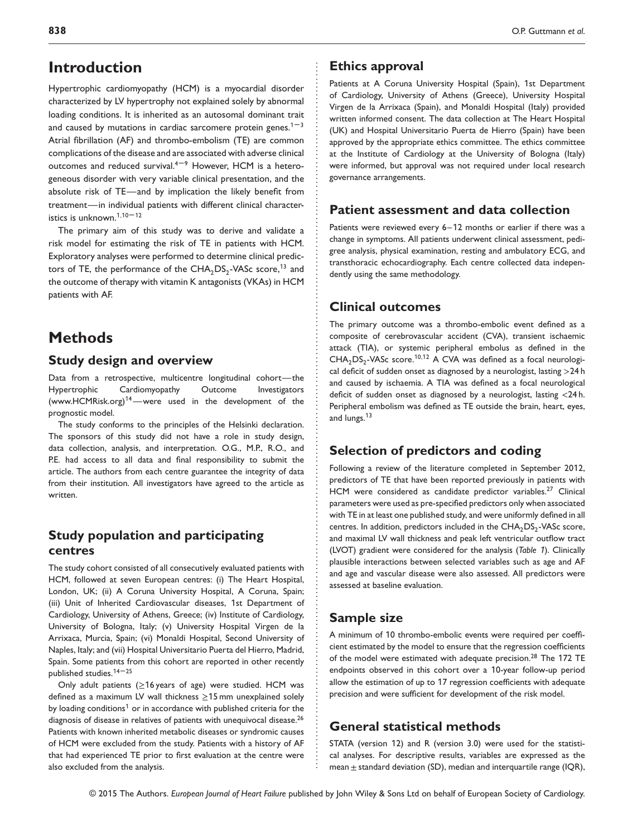## **Introduction**

Hypertrophic cardiomyopathy (HCM) is a myocardial disorder characterized by LV hypertrophy not explained solely by abnormal loading conditions. It is inherited as an autosomal dominant trait and caused by mutations in cardiac sarcomere protein genes.<sup>1-3</sup> Atrial fibrillation (AF) and thrombo-embolism (TE) are common complications of the disease and are associated with adverse clinical outcomes and reduced survival. $4-9$  However, HCM is a heterogeneous disorder with very variable clinical presentation, and the absolute risk of TE—and by implication the likely benefit from treatment—in individual patients with different clinical characteristics is unknown.<sup>1,10-12</sup>

The primary aim of this study was to derive and validate a risk model for estimating the risk of TE in patients with HCM. Exploratory analyses were performed to determine clinical predictors of TE, the performance of the  $CHA<sub>2</sub>DS<sub>2</sub>-VASc score<sup>13</sup>$  and the outcome of therapy with vitamin K antagonists (VKAs) in HCM patients with AF.

# **Methods**

#### **Study design and overview**

Data from a retrospective, multicentre longitudinal cohort— the Hypertrophic Cardiomyopathy Outcome Investigators (www.HCMRisk.org)<sup>14</sup>—were used in the development of the prognostic model.

The study conforms to the principles of the Helsinki declaration. The sponsors of this study did not have a role in study design, data collection, analysis, and interpretation. O.G., M.P., R.O., and P.E. had access to all data and final responsibility to submit the article. The authors from each centre guarantee the integrity of data from their institution. All investigators have agreed to the article as written.

## **Study population and participating centres**

The study cohort consisted of all consecutively evaluated patients with HCM, followed at seven European centres: (i) The Heart Hospital, London, UK; (ii) A Coruna University Hospital, A Coruna, Spain; (iii) Unit of Inherited Cardiovascular diseases, 1st Department of Cardiology, University of Athens, Greece; (iv) Institute of Cardiology, University of Bologna, Italy; (v) University Hospital Virgen de la Arrixaca, Murcia, Spain; (vi) Monaldi Hospital, Second University of Naples, Italy; and (vii) Hospital Universitario Puerta del Hierro, Madrid, Spain. Some patients from this cohort are reported in other recently published studies. $14 - 25$ 

Only adult patients (≥16 years of age) were studied. HCM was defined as a maximum LV wall thickness ≥15 mm unexplained solely by loading conditions<sup>1</sup> or in accordance with published criteria for the diagnosis of disease in relatives of patients with unequivocal disease.<sup>26</sup> Patients with known inherited metabolic diseases or syndromic causes of HCM were excluded from the study. Patients with a history of AF that had experienced TE prior to first evaluation at the centre were also excluded from the analysis.

#### **Ethics approval**

Patients at A Coruna University Hospital (Spain), 1st Department of Cardiology, University of Athens (Greece), University Hospital Virgen de la Arrixaca (Spain), and Monaldi Hospital (Italy) provided written informed consent. The data collection at The Heart Hospital (UK) and Hospital Universitario Puerta de Hierro (Spain) have been approved by the appropriate ethics committee. The ethics committee at the Institute of Cardiology at the University of Bologna (Italy) were informed, but approval was not required under local research governance arrangements.

#### **Patient assessment and data collection**

Patients were reviewed every 6–12 months or earlier if there was a change in symptoms. All patients underwent clinical assessment, pedigree analysis, physical examination, resting and ambulatory ECG, and transthoracic echocardiography. Each centre collected data independently using the same methodology.

## **Clinical outcomes**

............................................................................................................................... ...................................................

The primary outcome was a thrombo-embolic event defined as a composite of cerebrovascular accident (CVA), transient ischaemic attack (TIA), or systemic peripheral embolus as defined in the CHA<sub>2</sub>DS<sub>2</sub>-VASc score.<sup>10,12</sup> A CVA was defined as a focal neurological deficit of sudden onset as diagnosed by a neurologist, lasting *>*24 h and caused by ischaemia. A TIA was defined as a focal neurological deficit of sudden onset as diagnosed by a neurologist, lasting *<*24 h. Peripheral embolism was defined as TE outside the brain, heart, eyes, and lungs.<sup>13</sup>

## **Selection of predictors and coding**

Following a review of the literature completed in September 2012, predictors of TE that have been reported previously in patients with HCM were considered as candidate predictor variables.<sup>27</sup> Clinical parameters were used as pre-specified predictors only when associated with TE in at least one published study, and were uniformly defined in all centres. In addition, predictors included in the  $CHA<sub>2</sub>DS<sub>2</sub>$ -VASc score, and maximal LV wall thickness and peak left ventricular outflow tract (LVOT) gradient were considered for the analysis (*Table* 1). Clinically plausible interactions between selected variables such as age and AF and age and vascular disease were also assessed. All predictors were assessed at baseline evaluation.

## **Sample size**

A minimum of 10 thrombo-embolic events were required per coefficient estimated by the model to ensure that the regression coefficients of the model were estimated with adequate precision.<sup>28</sup> The 172 TE endpoints observed in this cohort over a 10-year follow-up period allow the estimation of up to 17 regression coefficients with adequate precision and were sufficient for development of the risk model.

## **General statistical methods**

STATA (version 12) and R (version 3.0) were used for the statistical analyses. For descriptive results, variables are expressed as the mean  $\pm$  standard deviation (SD), median and interquartile range (IQR),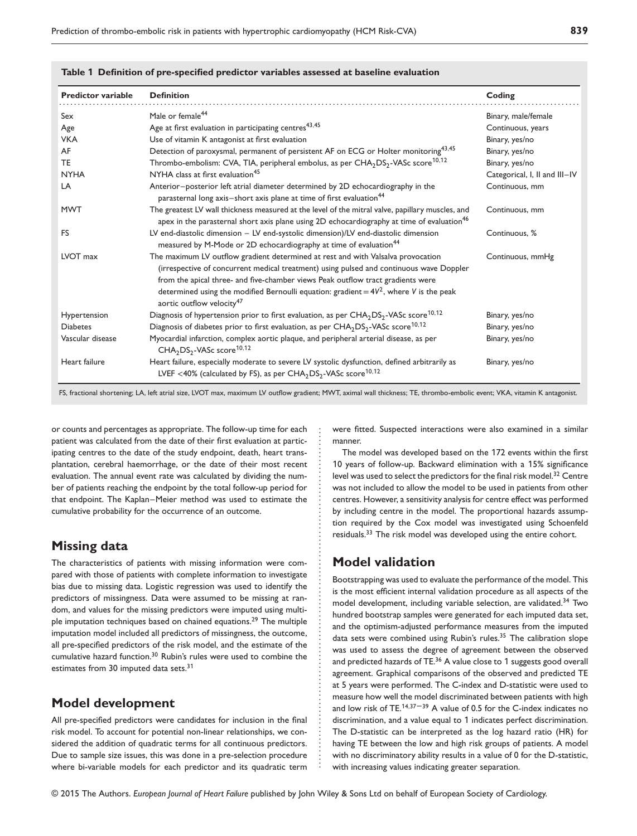| <b>Predictor variable</b> | <b>Definition</b>                                                                                                                                                                                                                                                                                                                                                                                    | Coding                        |
|---------------------------|------------------------------------------------------------------------------------------------------------------------------------------------------------------------------------------------------------------------------------------------------------------------------------------------------------------------------------------------------------------------------------------------------|-------------------------------|
| Sex                       | Male or female <sup>44</sup>                                                                                                                                                                                                                                                                                                                                                                         | Binary, male/female           |
| Age                       | Age at first evaluation in participating centres <sup>43,45</sup>                                                                                                                                                                                                                                                                                                                                    | Continuous, years             |
| <b>VKA</b>                | Use of vitamin K antagonist at first evaluation                                                                                                                                                                                                                                                                                                                                                      | Binary, yes/no                |
| AF                        | Detection of paroxysmal, permanent of persistent AF on ECG or Holter monitoring <sup>43,45</sup>                                                                                                                                                                                                                                                                                                     | Binary, yes/no                |
| <b>TE</b>                 | Thrombo-embolism: CVA, TIA, peripheral embolus, as per $CHA2DS2$ -VASc score <sup>10,12</sup>                                                                                                                                                                                                                                                                                                        | Binary, yes/no                |
| <b>NYHA</b>               | NYHA class at first evaluation <sup>45</sup>                                                                                                                                                                                                                                                                                                                                                         | Categorical, I, II and III-IV |
| LA                        | Anterior-posterior left atrial diameter determined by 2D echocardiography in the<br>parasternal long axis-short axis plane at time of first evaluation <sup>44</sup>                                                                                                                                                                                                                                 | Continuous, mm                |
| <b>MWT</b>                | The greatest LV wall thickness measured at the level of the mitral valve, papillary muscles, and<br>apex in the parasternal short axis plane using 2D echocardiography at time of evaluation <sup>46</sup>                                                                                                                                                                                           | Continuous, mm                |
| <b>FS</b>                 | LV end-diastolic dimension - LV end-systolic dimension)/LV end-diastolic dimension<br>measured by M-Mode or 2D echocardiography at time of evaluation <sup>44</sup>                                                                                                                                                                                                                                  | Continuous, %                 |
| LVOT max                  | The maximum LV outflow gradient determined at rest and with Valsalva provocation<br>(irrespective of concurrent medical treatment) using pulsed and continuous wave Doppler<br>from the apical three- and five-chamber views Peak outflow tract gradients were<br>determined using the modified Bernoulli equation: gradient = $4V^2$ , where V is the peak<br>aortic outflow velocity <sup>47</sup> | Continuous, mmHg              |
| Hypertension              | Diagnosis of hypertension prior to first evaluation, as per $CHA2DS2$ -VASc score <sup>10,12</sup>                                                                                                                                                                                                                                                                                                   | Binary, yes/no                |
| <b>Diabetes</b>           | Diagnosis of diabetes prior to first evaluation, as per $CHA2DS2$ -VASc score <sup>10,12</sup>                                                                                                                                                                                                                                                                                                       | Binary, yes/no                |
| Vascular disease          | Myocardial infarction, complex aortic plaque, and peripheral arterial disease, as per<br>$CHA2DS2$ -VASc score <sup>10,12</sup>                                                                                                                                                                                                                                                                      | Binary, yes/no                |
| Heart failure             | Heart failure, especially moderate to severe LV systolic dysfunction, defined arbitrarily as<br>LVEF <40% (calculated by FS), as per $CHA2DS2$ -VASc score <sup>10,12</sup>                                                                                                                                                                                                                          | Binary, yes/no                |

#### **Table 1 Definition of pre-specified predictor variables assessed at baseline evaluation**

FS, fractional shortening; LA, left atrial size, LVOT max, maximum LV outflow gradient; MWT, aximal wall thickness; TE, thrombo-embolic event; VKA, vitamin K antagonist.

......................................................................................

or counts and percentages as appropriate. The follow-up time for each patient was calculated from the date of their first evaluation at participating centres to the date of the study endpoint, death, heart transplantation, cerebral haemorrhage, or the date of their most recent evaluation. The annual event rate was calculated by dividing the number of patients reaching the endpoint by the total follow-up period for that endpoint. The Kaplan–Meier method was used to estimate the cumulative probability for the occurrence of an outcome.

#### **Missing data**

The characteristics of patients with missing information were compared with those of patients with complete information to investigate bias due to missing data. Logistic regression was used to identify the predictors of missingness. Data were assumed to be missing at random, and values for the missing predictors were imputed using multiple imputation techniques based on chained equations.<sup>29</sup> The multiple imputation model included all predictors of missingness, the outcome, all pre-specified predictors of the risk model, and the estimate of the cumulative hazard function.<sup>30</sup> Rubin's rules were used to combine the estimates from 30 imputed data sets.<sup>31</sup>

#### **Model development**

All pre-specified predictors were candidates for inclusion in the final risk model. To account for potential non-linear relationships, we considered the addition of quadratic terms for all continuous predictors. Due to sample size issues, this was done in a pre-selection procedure where bi-variable models for each predictor and its quadratic term were fitted. Suspected interactions were also examined in a similar manner.

The model was developed based on the 172 events within the first 10 years of follow-up. Backward elimination with a 15% significance level was used to select the predictors for the final risk model.<sup>32</sup> Centre was not included to allow the model to be used in patients from other centres. However, a sensitivity analysis for centre effect was performed by including centre in the model. The proportional hazards assumption required by the Cox model was investigated using Schoenfeld residuals.<sup>33</sup> The risk model was developed using the entire cohort.

### **Model validation**

Bootstrapping was used to evaluate the performance of the model. This is the most efficient internal validation procedure as all aspects of the model development, including variable selection, are validated.<sup>34</sup> Two hundred bootstrap samples were generated for each imputed data set, and the optimism-adjusted performance measures from the imputed data sets were combined using Rubin's rules.<sup>35</sup> The calibration slope was used to assess the degree of agreement between the observed and predicted hazards of TE.<sup>36</sup> A value close to 1 suggests good overall agreement. Graphical comparisons of the observed and predicted TE at 5 years were performed. The C-index and D-statistic were used to measure how well the model discriminated between patients with high and low risk of TE.<sup>14,37–39</sup> A value of 0.5 for the C-index indicates no discrimination, and a value equal to 1 indicates perfect discrimination. The D-statistic can be interpreted as the log hazard ratio (HR) for having TE between the low and high risk groups of patients. A model with no discriminatory ability results in a value of 0 for the D-statistic, with increasing values indicating greater separation.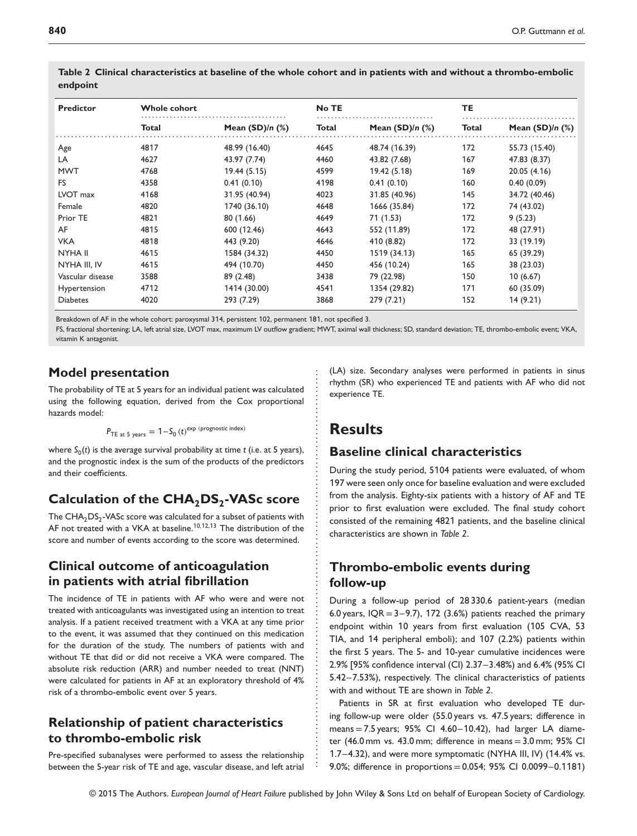| <b>Predictor</b> | <b>Whole cohort</b> |                      | No TE        |                      | <b>TE</b>    |                      |
|------------------|---------------------|----------------------|--------------|----------------------|--------------|----------------------|
|                  | <b>Total</b>        | Mean $(SD)/n$ $(\%)$ | <b>Total</b> | Mean $(SD)/n$ $(\%)$ | <b>Total</b> | Mean $(SD)/n$ $(\%)$ |
| Age              | 4817                | 48.99 (16.40)        | 4645         | 48.74 (16.39)        | 172          | 55.73 (15.40)        |
| LA               | 4627                | 43.97 (7.74)         | 4460         | 43.82 (7.68)         | 167          | 47.83 (8.37)         |
| <b>MWT</b>       | 4768                | 19.44 (5.15)         | 4599         | 19.42 (5.18)         | 169          | 20.05 (4.16)         |
| <b>FS</b>        | 4358                | 0.41(0.10)           | 4198         | 0.41(0.10)           | 160          | 0.40(0.09)           |
| LVOT max         | 4168                | 31.95 (40.94)        | 4023         | 31.85 (40.96)        | 145          | 34.72 (40.46)        |
| Female           | 4820                | 1740 (36.10)         | 4648         | 1666 (35.84)         | 172          | 74 (43.02)           |
| Prior TE         | 4821                | 80(1.66)             | 4649         | 71 (1.53)            | 172          | 9(5.23)              |
| AF               | 4815                | 600 (12.46)          | 4643         | 552 (11.89)          | 172          | 48 (27.91)           |
| <b>VKA</b>       | 4818                | 443 (9.20)           | 4646         | 410 (8.82)           | 172          | 33 (19.19)           |
| NYHA II          | 4615                | 1584 (34.32)         | 4450         | 1519 (34.13)         | 165          | 65 (39.29)           |
| NYHA III, IV     | 4615                | 494 (10.70)          | 4450         | 456 (10.24)          | 165          | 38 (23.03)           |
| Vascular disease | 3588                | 89 (2.48)            | 3438         | 79 (22.98)           | 150          | 10(6.67)             |
| Hypertension     | 4712                | 1414 (30.00)         | 4541         | 1354 (29.82)         | 171          | 60 (35.09)           |
| <b>Diabetes</b>  | 4020                | 293 (7.29)           | 3868         | 279 (7.21)           | 152          | 14 (9.21)            |

**Table 2 Clinical characteristics at baseline of the whole cohort and in patients with and without a thrombo-embolic endpoint**

Breakdown of AF in the whole cohort: paroxysmal 314, persistent 102, permanent 181, not specified 3.

FS, fractional shortening; LA, left atrial size, LVOT max, maximum LV outflow gradient; MWT, aximal wall thickness; SD, standard deviation; TE, thrombo-embolic event; VKA, vitamin K antagonist.

................................................. ..............................................

## **Model presentation**

The probability of TE at 5 years for an individual patient was calculated using the following equation, derived from the Cox proportional hazards model:

$$
P_{\text{TE at 5 years}} = 1 - S_0(t)^{\text{exp (prognostic index)}}
$$

where  $S_0(t)$  is the average survival probability at time *t* (i.e. at 5 years), and the prognostic index is the sum of the products of the predictors and their coefficients.

## **Calculation of the CHA<sub>2</sub>DS<sub>2</sub>-VASc score**

The  $CHA<sub>2</sub>DS<sub>2</sub>$ -VASc score was calculated for a subset of patients with AF not treated with a VKA at baseline.<sup>1</sup>0*,*12*,*1<sup>3</sup> The distribution of the score and number of events according to the score was determined.

## **Clinical outcome of anticoagulation in patients with atrial fibrillation**

The incidence of TE in patients with AF who were and were not treated with anticoagulants was investigated using an intention to treat analysis. If a patient received treatment with a VKA at any time prior to the event, it was assumed that they continued on this medication for the duration of the study. The numbers of patients with and without TE that did or did not receive a VKA were compared. The absolute risk reduction (ARR) and number needed to treat (NNT) were calculated for patients in AF at an exploratory threshold of 4% risk of a thrombo-embolic event over 5 years.

## **Relationship of patient characteristics to thrombo-embolic risk**

Pre-specified subanalyses were performed to assess the relationship between the 5-year risk of TE and age, vascular disease, and left atrial (LA) size. Secondary analyses were performed in patients in sinus rhythm (SR) who experienced TE and patients with AF who did not experience TE.

# **Results**

#### **Baseline clinical characteristics**

During the study period, 5104 patients were evaluated, of whom 197 were seen only once for baseline evaluation and were excluded from the analysis. Eighty-six patients with a history of AF and TE prior to first evaluation were excluded. The final study cohort consisted of the remaining 4821 patients, and the baseline clinical characteristics are shown in *Table 2*.

## **Thrombo-embolic events during follow-up**

During a follow-up period of 28 330.6 patient-years (median 6.0 years,  $IQR = 3-9.7$ ), 172 (3.6%) patients reached the primary endpoint within 10 years from first evaluation (105 CVA, 53 TIA, and 14 peripheral emboli); and 107 (2.2%) patients within the first 5 years. The 5- and 10-year cumulative incidences were 2.9% [95% confidence interval (CI) 2.37–3.48%) and 6.4% (95% CI 5.42–7.53%), respectively. The clinical characteristics of patients with and without TE are shown in *Table 2*.

Patients in SR at first evaluation who developed TE during follow-up were older (55.0 years vs. 47.5 years; difference in means=7.5 years; 95% CI 4.60–10.42), had larger LA diameter (46.0 mm vs. 43.0 mm; difference in means=3.0 mm; 95% CI 1.7–4.32), and were more symptomatic (NYHA III, IV) (14.4% vs. 9.0%; difference in proportions=0.054; 95% CI 0.0099–0.1181)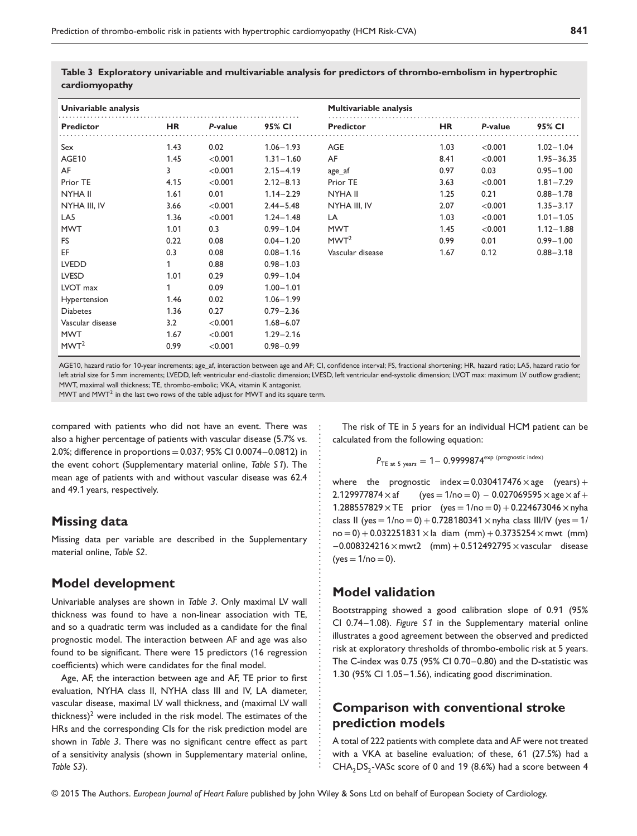| Univariable analysis |              |         |               | Multivariable analysis |           |         |                |
|----------------------|--------------|---------|---------------|------------------------|-----------|---------|----------------|
| <b>Predictor</b>     | <b>HR</b>    | P-value | 95% CI        | Predictor              | <b>HR</b> | P-value | 95% CI         |
| Sex                  | 1.43         | 0.02    | $1.06 - 1.93$ | AGE                    | 1.03      | < 0.001 | $1.02 - 1.04$  |
| AGE10                | 1.45         | < 0.001 | $1.31 - 1.60$ | AF                     | 8.41      | < 0.001 | $1.95 - 36.35$ |
| AF                   | 3            | < 0.001 | $2.15 - 4.19$ | age_af                 | 0.97      | 0.03    | $0.95 - 1.00$  |
| Prior TE             | 4.15         | < 0.001 | $2.12 - 8.13$ | Prior TE               | 3.63      | < 0.001 | $1.81 - 7.29$  |
| <b>NYHA II</b>       | 1.61         | 0.01    | $1.14 - 2.29$ | <b>NYHA II</b>         | 1.25      | 0.21    | $0.88 - 1.78$  |
| NYHA III, IV         | 3.66         | < 0.001 | $2.44 - 5.48$ | NYHA III, IV           | 2.07      | < 0.001 | $1.35 - 3.17$  |
| LA5                  | 1.36         | < 0.001 | $1.24 - 1.48$ | LA                     | 1.03      | < 0.001 | $1.01 - 1.05$  |
| <b>MWT</b>           | 1.01         | 0.3     | $0.99 - 1.04$ | <b>MWT</b>             | 1.45      | < 0.001 | $1.12 - 1.88$  |
| <b>FS</b>            | 0.22         | 0.08    | $0.04 - 1.20$ | MWT <sup>2</sup>       | 0.99      | 0.01    | $0.99 - 1.00$  |
| EF                   | 0.3          | 0.08    | $0.08 - 1.16$ | Vascular disease       | 1.67      | 0.12    | $0.88 - 3.18$  |
| <b>LVEDD</b>         | $\mathbf{1}$ | 0.88    | $0.98 - 1.03$ |                        |           |         |                |
| <b>LVESD</b>         | 1.01         | 0.29    | $0.99 - 1.04$ |                        |           |         |                |
| LVOT max             | $\mathbf{1}$ | 0.09    | $1.00 - 1.01$ |                        |           |         |                |
| Hypertension         | 1.46         | 0.02    | $1.06 - 1.99$ |                        |           |         |                |
| <b>Diabetes</b>      | 1.36         | 0.27    | $0.79 - 2.36$ |                        |           |         |                |
| Vascular disease     | 3.2          | < 0.001 | $1.68 - 6.07$ |                        |           |         |                |
| <b>MWT</b>           | 1.67         | < 0.001 | $1.29 - 2.16$ |                        |           |         |                |
| MWT <sup>2</sup>     | 0.99         | < 0.001 | $0.98 - 0.99$ |                        |           |         |                |

**Table 3 Exploratory univariable and multivariable analysis for predictors of thrombo-embolism in hypertrophic cardiomyopathy**

AGE10, hazard ratio for 10-year increments; age\_af, interaction between age and AF; CI, confidence interval; FS, fractional shortening; HR, hazard ratio; LA5, hazard ratio for left atrial size for 5 mm increments; LVEDD, left ventricular end-diastolic dimension; LVESD, left ventricular end-systolic dimension; LVOT max: maximum LV outflow gradient; MWT, maximal wall thickness; TE, thrombo-embolic; VKA, vitamin K antagonist.

..................................................................................

MWT and MWT<sup>2</sup> in the last two rows of the table adjust for MWT and its square term.

compared with patients who did not have an event. There was also a higher percentage of patients with vascular disease (5.7% vs. 2.0%; difference in proportions=0.037; 95% CI 0.0074–0.0812) in the event cohort (Supplementary material online, *Table S*1). The mean age of patients with and without vascular disease was 62.4 and 49.1 years, respectively.

#### **Missing data**

Missing data per variable are described in the Supplementary material online, *Table S2*.

#### **Model development**

Univariable analyses are shown in *Table 3*. Only maximal LV wall thickness was found to have a non-linear association with TE, and so a quadratic term was included as a candidate for the final prognostic model. The interaction between AF and age was also found to be significant. There were 15 predictors (16 regression coefficients) which were candidates for the final model.

Age, AF, the interaction between age and AF, TE prior to first evaluation, NYHA class II, NYHA class III and IV, LA diameter, vascular disease, maximal LV wall thickness, and (maximal LV wall thickness)<sup>2</sup> were included in the risk model. The estimates of the HRs and the corresponding CIs for the risk prediction model are shown in *Table 3*. There was no significant centre effect as part of a sensitivity analysis (shown in Supplementary material online, *Table S3*).

The risk of TE in 5 years for an individual HCM patient can be calculated from the following equation:

 $P_{\text{TE at 5 years}} = 1 - 0.9999874^{\text{exp (prognostic index)}}$ 

where the prognostic index =  $0.030417476 \times age$  (years) + 2.129977874  $\times$  af (yes = 1/no = 0) – 0.027069595  $\times$  age  $\times$  af + 1.288557829  $\times$  TE prior (yes = 1/no = 0) + 0.224673046  $\times$  nyha class II (yes =  $1/no = 0$ ) + 0.728180341  $\times$  nyha class III/IV (yes =  $1/$  $no = 0$ ) + 0.032251831  $\times$  la diam (mm) + 0.3735254  $\times$  mwt (mm)  $-0.008324216 \times mwt2$  (mm) + 0.512492795  $\times$  vascular disease  $(yes = 1/no = 0)$ .

#### **Model validation**

Bootstrapping showed a good calibration slope of 0.91 (95% CI 0.74–1.08). *Figure S*1 in the Supplementary material online illustrates a good agreement between the observed and predicted risk at exploratory thresholds of thrombo-embolic risk at 5 years. The C-index was 0.75 (95% CI 0.70–0.80) and the D-statistic was 1.30 (95% CI 1.05–1.56), indicating good discrimination.

## **Comparison with conventional stroke prediction models**

A total of 222 patients with complete data and AF were not treated with a VKA at baseline evaluation; of these, 61 (27.5%) had a  $CHA<sub>2</sub>DS<sub>2</sub>$ -VASc score of 0 and 19 (8.6%) had a score between 4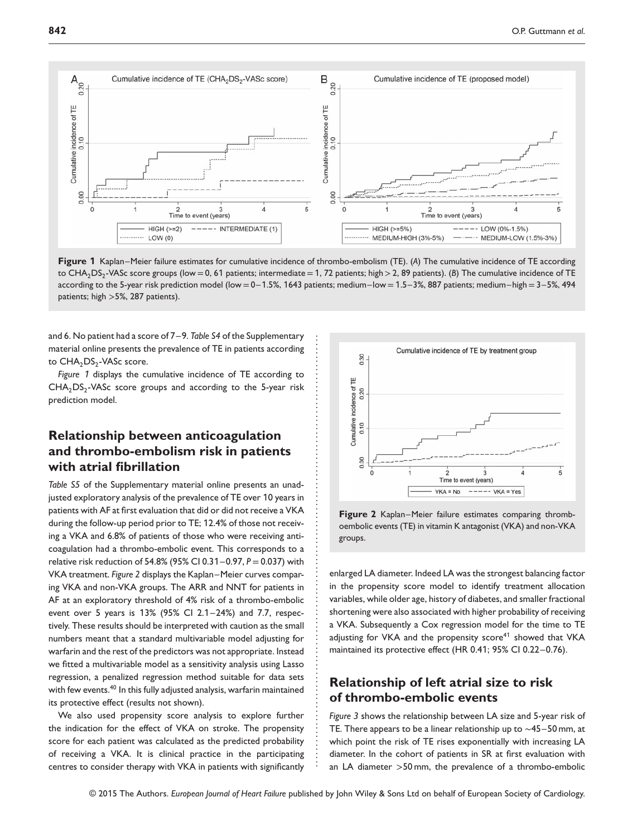

**Figure 1** Kaplan–Meier failure estimates for cumulative incidence of thrombo-embolism (TE). (*A*) The cumulative incidence of TE according to CHA<sub>2</sub>DS<sub>2</sub>-VASc score groups (low = 0, 61 patients; intermediate = 1, 72 patients; high > 2, 89 patients). (*B*) The cumulative incidence of TE according to the 5-year risk prediction model (low =  $0-1.5$ %, 1643 patients; medium–low = 1.5–3%, 887 patients; medium–high =  $3-5$ %, 494 patients; high *>*5%, 287 patients).

..................................................... ..................................................

and 6. No patient had a score of 7–9. *Table S4* of the Supplementary material online presents the prevalence of TE in patients according to CHA<sub>2</sub>DS<sub>2</sub>-VASc score.

*Figure* 1 displays the cumulative incidence of TE according to  $CHA<sub>2</sub>DS<sub>2</sub>-VASc$  score groups and according to the 5-year risk prediction model.

## **Relationship between anticoagulation and thrombo-embolism risk in patients with atrial fibrillation**

*Table S5* of the Supplementary material online presents an unadjusted exploratory analysis of the prevalence of TE over 10 years in patients with AF at first evaluation that did or did not receive a VKA during the follow-up period prior to TE; 12.4% of those not receiving a VKA and 6.8% of patients of those who were receiving anticoagulation had a thrombo-embolic event. This corresponds to a relative risk reduction of 54.8% (95% CI 0.31-0.97, P = 0.037) with VKA treatment. *Figure 2* displays the Kaplan–Meier curves comparing VKA and non-VKA groups. The ARR and NNT for patients in AF at an exploratory threshold of 4% risk of a thrombo-embolic event over 5 years is 13% (95% CI 2.1–24%) and 7.7, respectively. These results should be interpreted with caution as the small numbers meant that a standard multivariable model adjusting for warfarin and the rest of the predictors was not appropriate. Instead we fitted a multivariable model as a sensitivity analysis using Lasso regression, a penalized regression method suitable for data sets with few events.<sup>40</sup> In this fully adjusted analysis, warfarin maintained its protective effect (results not shown).

We also used propensity score analysis to explore further the indication for the effect of VKA on stroke. The propensity score for each patient was calculated as the predicted probability of receiving a VKA. It is clinical practice in the participating centres to consider therapy with VKA in patients with significantly



**Figure 2** Kaplan–Meier failure estimates comparing thromboembolic events (TE) in vitamin K antagonist (VKA) and non-VKA groups.

enlarged LA diameter. Indeed LA was the strongest balancing factor in the propensity score model to identify treatment allocation variables, while older age, history of diabetes, and smaller fractional shortening were also associated with higher probability of receiving a VKA. Subsequently a Cox regression model for the time to TE adjusting for VKA and the propensity score<sup>41</sup> showed that VKA maintained its protective effect (HR 0.41; 95% CI 0.22–0.76).

## **Relationship of left atrial size to risk of thrombo-embolic events**

*Figure 3* shows the relationship between LA size and 5-year risk of TE. There appears to be a linear relationship up to ∼45–50 mm, at which point the risk of TE rises exponentially with increasing LA diameter. In the cohort of patients in SR at first evaluation with an LA diameter *>*50 mm, the prevalence of a thrombo-embolic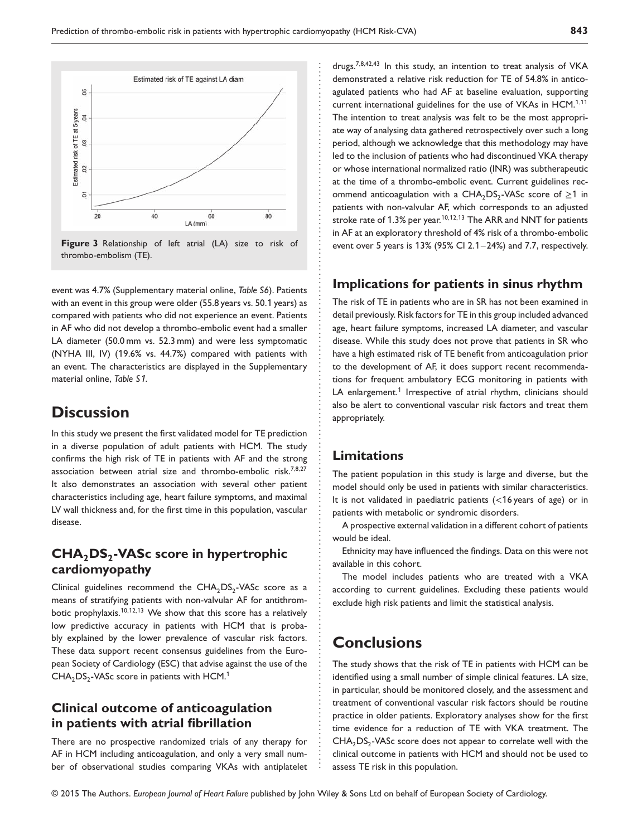

**Figure 3** Relationship of left atrial (LA) size to risk of thrombo-embolism (TE).

event was 4.7% (Supplementary material online, *Table S6*). Patients with an event in this group were older (55.8 years vs. 50.1 years) as compared with patients who did not experience an event. Patients in AF who did not develop a thrombo-embolic event had a smaller LA diameter (50.0 mm vs. 52.3 mm) and were less symptomatic (NYHA III, IV) (19.6% vs. 44.7%) compared with patients with an event. The characteristics are displayed in the Supplementary material online, *Table S*1.

# **Discussion**

In this study we present the first validated model for TE prediction in a diverse population of adult patients with HCM. The study confirms the high risk of TE in patients with AF and the strong association between atrial size and thrombo-embolic risk.<sup>7</sup>*,*8*,*<sup>27</sup> It also demonstrates an association with several other patient characteristics including age, heart failure symptoms, and maximal LV wall thickness and, for the first time in this population, vascular disease.

## CHA<sub>2</sub>DS<sub>2</sub>-VASc score in hypertrophic **cardiomyopathy**

Clinical guidelines recommend the  $CHA<sub>2</sub>DS<sub>2</sub>$ -VASc score as a means of stratifying patients with non-valvular AF for antithrombotic prophylaxis.<sup>1</sup>0*,*12*,*1<sup>3</sup> We show that this score has a relatively low predictive accuracy in patients with HCM that is probably explained by the lower prevalence of vascular risk factors. These data support recent consensus guidelines from the European Society of Cardiology (ESC) that advise against the use of the  $CHA<sub>2</sub>DS<sub>2</sub>-VASc score in patients with HCM.<sup>1</sup>$ 

## **Clinical outcome of anticoagulation in patients with atrial fibrillation**

There are no prospective randomized trials of any therapy for AF in HCM including anticoagulation, and only a very small number of observational studies comparing VKAs with antiplatelet drugs.7*,*8*,*42*,*<sup>43</sup> In this study, an intention to treat analysis of VKA demonstrated a relative risk reduction for TE of 54.8% in anticoagulated patients who had AF at baseline evaluation, supporting current international guidelines for the use of VKAs in HCM.<sup>1,11</sup> The intention to treat analysis was felt to be the most appropriate way of analysing data gathered retrospectively over such a long period, although we acknowledge that this methodology may have led to the inclusion of patients who had discontinued VKA therapy or whose international normalized ratio (INR) was subtherapeutic at the time of a thrombo-embolic event. Current guidelines recommend anticoagulation with a CHA<sub>2</sub>DS<sub>2</sub>-VASc score of  $\geq$ 1 in patients with non-valvular AF, which corresponds to an adjusted stroke rate of 1.3% per year.<sup>1</sup>0*,*12*,*1<sup>3</sup> The ARR and NNT for patients in AF at an exploratory threshold of 4% risk of a thrombo-embolic event over 5 years is 13% (95% CI 2.1–24%) and 7.7, respectively.

#### **Implications for patients in sinus rhythm**

The risk of TE in patients who are in SR has not been examined in detail previously. Risk factors for TE in this group included advanced age, heart failure symptoms, increased LA diameter, and vascular disease. While this study does not prove that patients in SR who have a high estimated risk of TE benefit from anticoagulation prior to the development of AF, it does support recent recommendations for frequent ambulatory ECG monitoring in patients with LA enlargement.<sup>1</sup> Irrespective of atrial rhythm, clinicians should also be alert to conventional vascular risk factors and treat them appropriately.

#### **Limitations**

............................................................... ................................................................ .........................................

The patient population in this study is large and diverse, but the model should only be used in patients with similar characteristics. It is not validated in paediatric patients (*<*16 years of age) or in patients with metabolic or syndromic disorders.

A prospective external validation in a different cohort of patients would be ideal.

Ethnicity may have influenced the findings. Data on this were not available in this cohort.

The model includes patients who are treated with a VKA according to current guidelines. Excluding these patients would exclude high risk patients and limit the statistical analysis.

# **Conclusions**

The study shows that the risk of TE in patients with HCM can be identified using a small number of simple clinical features. LA size, in particular, should be monitored closely, and the assessment and treatment of conventional vascular risk factors should be routine practice in older patients. Exploratory analyses show for the first time evidence for a reduction of TE with VKA treatment. The  $CHA<sub>2</sub>DS<sub>2</sub>$ -VASc score does not appear to correlate well with the clinical outcome in patients with HCM and should not be used to assess TE risk in this population.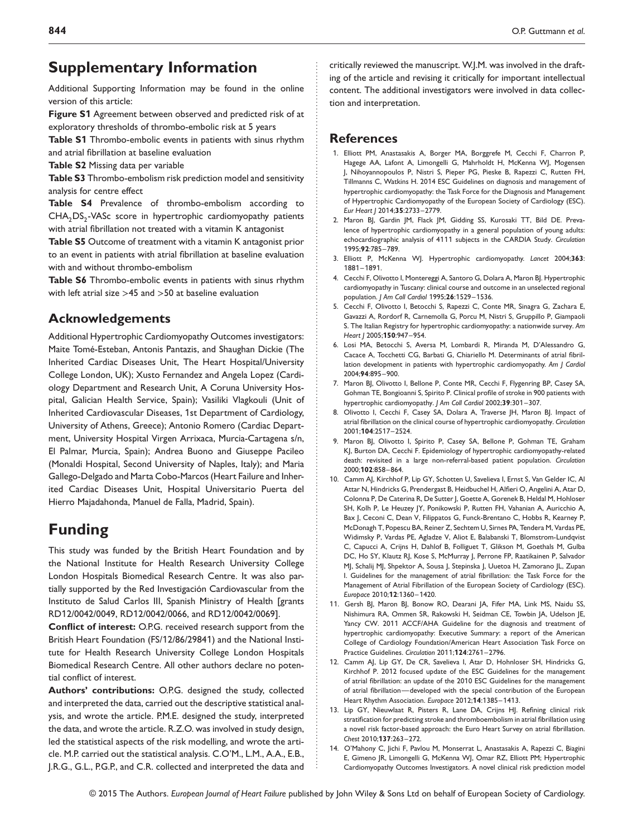# **Supplementary Information**

Additional Supporting Information may be found in the online version of this article:

**Figure S1** Agreement between observed and predicted risk of at exploratory thresholds of thrombo-embolic risk at 5 years

**Table S1** Thrombo-embolic events in patients with sinus rhythm and atrial fibrillation at baseline evaluation

**Table S2** Missing data per variable

**Table S3** Thrombo-embolism risk prediction model and sensitivity analysis for centre effect

**Table S4** Prevalence of thrombo-embolism according to  $CHA<sub>2</sub>DS<sub>2</sub>$ -VASc score in hypertrophic cardiomyopathy patients with atrial fibrillation not treated with a vitamin K antagonist

**Table S5** Outcome of treatment with a vitamin K antagonist prior to an event in patients with atrial fibrillation at baseline evaluation with and without thrombo-embolism

**Table S6** Thrombo-embolic events in patients with sinus rhythm with left atrial size *>*45 and *>*50 at baseline evaluation

## **Acknowledgements**

Additional Hypertrophic Cardiomyopathy Outcomes investigators: Maite Tomé-Esteban, Antonis Pantazis, and Shaughan Dickie (The Inherited Cardiac Diseases Unit, The Heart Hospital/University College London, UK); Xusto Fernandez and Angela Lopez (Cardiology Department and Research Unit, A Coruna University Hospital, Galician Health Service, Spain); Vasiliki Vlagkouli (Unit of Inherited Cardiovascular Diseases, 1st Department of Cardiology, University of Athens, Greece); Antonio Romero (Cardiac Department, University Hospital Virgen Arrixaca, Murcia-Cartagena s/n, El Palmar, Murcia, Spain); Andrea Buono and Giuseppe Pacileo (Monaldi Hospital, Second University of Naples, Italy); and Maria Gallego-Delgado and Marta Cobo-Marcos (Heart Failure and Inherited Cardiac Diseases Unit, Hospital Universitario Puerta del Hierro Majadahonda, Manuel de Falla, Madrid, Spain).

# **Funding**

This study was funded by the British Heart Foundation and by the National Institute for Health Research University College London Hospitals Biomedical Research Centre. It was also partially supported by the Red Investigación Cardiovascular from the Instituto de Salud Carlos III, Spanish Ministry of Health [grants RD12/0042/0049, RD12/0042/0066, and RD12/0042/0069].

**Conflict of interest:** O.P.G. received research support from the British Heart Foundation (FS/12/86/29841) and the National Institute for Health Research University College London Hospitals Biomedical Research Centre. All other authors declare no potential conflict of interest.

**Authors' contributions:** O.P.G. designed the study, collected and interpreted the data, carried out the descriptive statistical analysis, and wrote the article. P.M.E. designed the study, interpreted the data, and wrote the article. R.Z.O. was involved in study design, led the statistical aspects of the risk modelling, and wrote the article. M.P. carried out the statistical analysis. C.O'M., L.M., A.A., E.B., J.R.G., G.L., P.G.P., and C.R. collected and interpreted the data and critically reviewed the manuscript. W.J.M. was involved in the drafting of the article and revising it critically for important intellectual content. The additional investigators were involved in data collection and interpretation.

#### **References**

- 1. Elliott PM, Anastasakis A, Borger MA, Borggrefe M, Cecchi F, Charron P, Hagege AA, Lafont A, Limongelli G, Mahrholdt H, McKenna WJ, Mogensen J, Nihoyannopoulos P, Nistri S, Pieper PG, Pieske B, Rapezzi C, Rutten FH, Tillmanns C, Watkins H. 2014 ESC Guidelines on diagnosis and management of hypertrophic cardiomyopathy: the Task Force for the Diagnosis and Management of Hypertrophic Cardiomyopathy of the European Society of Cardiology (ESC). *Eur Heart J* 2014;**35**:2733–2779.
- 2. Maron BJ, Gardin JM, Flack JM, Gidding SS, Kurosaki TT, Bild DE. Prevalence of hypertrophic cardiomyopathy in a general population of young adults: echocardiographic analysis of 4111 subjects in the CARDIA Study. *Circulation* 1995;**92**:785–789.
- 3. Elliott P, McKenna WJ. Hypertrophic cardiomyopathy. *Lancet* 2004;**363**: 1881–1891.
- 4. Cecchi F, Olivotto I, Montereggi A, Santoro G, Dolara A, Maron BJ. Hypertrophic cardiomyopathy in Tuscany: clinical course and outcome in an unselected regional population. *J Am Coll Cardiol* 1995;**26**:1529–1536.
- 5. Cecchi F, Olivotto I, Betocchi S, Rapezzi C, Conte MR, Sinagra G, Zachara E, Gavazzi A, Rordorf R, Carnemolla G, Porcu M, Nistri S, Gruppillo P, Giampaoli S. The Italian Registry for hypertrophic cardiomyopathy: a nationwide survey. *Am Heart J* 2005;**150**:947–954.
- 6. Losi MA, Betocchi S, Aversa M, Lombardi R, Miranda M, D'Alessandro G, Cacace A, Tocchetti CG, Barbati G, Chiariello M. Determinants of atrial fibrillation development in patients with hypertrophic cardiomyopathy. *Am J Cardiol* 2004;**94**:895–900.
- 7. Maron BJ, Olivotto I, Bellone P, Conte MR, Cecchi F, Flygenring BP, Casey SA, Gohman TE, Bongioanni S, Spirito P. Clinical profile of stroke in 900 patients with hypertrophic cardiomyopathy. *J Am Coll Cardiol* 2002;**39**:301–307.
- 8. Olivotto I, Cecchi F, Casey SA, Dolara A, Traverse JH, Maron BJ. Impact of atrial fibrillation on the clinical course of hypertrophic cardiomyopathy. *Circulation* 2001;**104**:2517–2524.
- 9. Maron BJ, Olivotto I, Spirito P, Casey SA, Bellone P, Gohman TE, Graham KJ, Burton DA, Cecchi F. Epidemiology of hypertrophic cardiomyopathy-related death: revisited in a large non-referral-based patient population. *Circulation* 2000;**102**:858–864.
- 10. Camm AJ, Kirchhof P, Lip GY, Schotten U, Savelieva I, Ernst S, Van Gelder IC, Al Attar N, Hindricks G, Prendergast B, Heidbuchel H, Alfieri O, Angelini A, Atar D, Colonna P, De Caterina R, De Sutter J, Goette A, Gorenek B, Heldal M, Hohloser SH, Kolh P, Le Heuzey JY, Ponikowski P, Rutten FH, Vahanian A, Auricchio A, Bax J, Ceconi C, Dean V, Filippatos G, Funck-Brentano C, Hobbs R, Kearney P, McDonagh T, Popescu BA, Reiner Z, Sechtem U, Sirnes PA, Tendera M, Vardas PE, Widimsky P, Vardas PE, Agladze V, Aliot E, Balabanski T, Blomstrom-Lundqvist C, Capucci A, Crijns H, Dahlof B, Folliguet T, Glikson M, Goethals M, Gulba DC, Ho SY, Klautz RJ, Kose S, McMurray J, Perrone FP, Raatikainen P, Salvador MJ, Schalij MJ, Shpektor A, Sousa J, Stepinska J, Uuetoa H, Zamorano JL, Zupan I. Guidelines for the management of atrial fibrillation: the Task Force for the Management of Atrial Fibrillation of the European Society of Cardiology (ESC). *Europace* 2010;**12**:1360–1420.
- 11. Gersh BJ, Maron BJ, Bonow RO, Dearani JA, Fifer MA, Link MS, Naidu SS, Nishimura RA, Ommen SR, Rakowski H, Seidman CE, Towbin JA, Udelson JE, Yancy CW. 2011 ACCF/AHA Guideline for the diagnosis and treatment of hypertrophic cardiomyopathy: Executive Summary: a report of the American College of Cardiology Foundation/American Heart Association Task Force on Practice Guidelines. *Circulation* 2011;**124**:2761–2796.
- 12. Camm AJ, Lip GY, De CR, Savelieva I, Atar D, Hohnloser SH, Hindricks G, Kirchhof P. 2012 focused update of the ESC Guidelines for the management of atrial fibrillation: an update of the 2010 ESC Guidelines for the management of atrial fibrillation—developed with the special contribution of the European Heart Rhythm Association. *Europace* 2012;**14**:1385–1413.
- 13. Lip GY, Nieuwlaat R, Pisters R, Lane DA, Crijns HJ. Refining clinical risk stratification for predicting stroke and thromboembolism in atrial fibrillation using a novel risk factor-based approach: the Euro Heart Survey on atrial fibrillation. *Chest* 2010;**137**:263–272.
- 14. O'Mahony C, Jichi F, Pavlou M, Monserrat L, Anastasakis A, Rapezzi C, Biagini E, Gimeno JR, Limongelli G, McKenna WJ, Omar RZ, Elliott PM; Hypertrophic Cardiomyopathy Outcomes Investigators. A novel clinical risk prediction model

............................................................................................................................... .........................................................................................